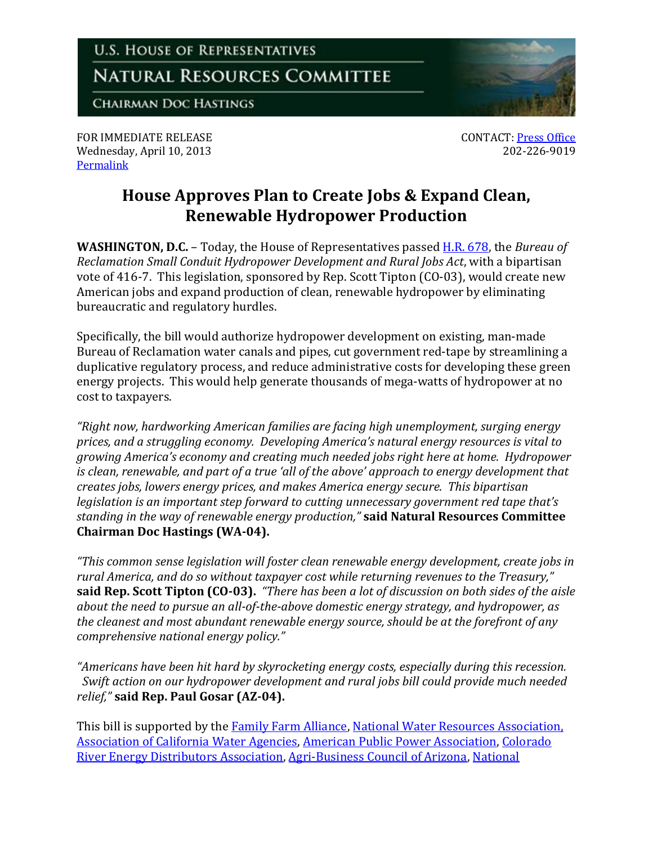

FOR IMMEDIATE RELEASE Wednesday, April 10, 2013 [Permalink](http://naturalresources.house.gov/news/documentsingle.aspx?DocumentID=328265)

CONTACT: [Press Office](http://naturalresources.house.gov/contact/media.htm) 202-226-9019

## **House Approves Plan to Create Jobs & Expand Clean, Renewable Hydropower Production**

**WASHINGTON, D.C.** – Today, the House of Representatives passed [H.R. 678,](http://thomas.loc.gov/home/gpoxmlc113/h678_ih.xml) the *Bureau of Reclamation Small Conduit Hydropower Development and Rural Jobs Act*, with a bipartisan vote of 416-7. This legislation, sponsored by Rep. Scott Tipton (CO-03), would create new American jobs and expand production of clean, renewable hydropower by eliminating bureaucratic and regulatory hurdles.

Specifically, the bill would authorize hydropower development on existing, man-made Bureau of Reclamation water canals and pipes, cut government red-tape by streamlining a duplicative regulatory process, and reduce administrative costs for developing these green energy projects. This would help generate thousands of mega-watts of hydropower at no cost to taxpayers.

*"Right now, hardworking American families are facing high unemployment, surging energy prices, and a struggling economy. Developing America's natural energy resources is vital to growing America's economy and creating much needed jobs right here at home. Hydropower is clean, renewable, and part of a true 'all of the above' approach to energy development that creates jobs, lowers energy prices, and makes America energy secure. This bipartisan legislation is an important step forward to cutting unnecessary government red tape that's standing in the way of renewable energy production,"* **said Natural Resources Committee Chairman Doc Hastings (WA-04).**

*"This common sense legislation will foster clean renewable energy development, create jobs in rural America, and do so without taxpayer cost while returning revenues to the Treasury,"*  **said Rep. Scott Tipton (CO-03).** *"There has been a lot of discussion on both sides of the aisle about the need to pursue an all-of-the-above domestic energy strategy, and hydropower, as the cleanest and most abundant renewable energy source, should be at the forefront of any comprehensive national energy policy."* 

*"Americans have been hit hard by skyrocketing energy costs, especially during this recession. Swift action on our hydropower development and rural jobs bill could provide much needed relief,"* **said Rep. Paul Gosar (AZ-04).**

This bill is supported by the **Family Farm Alliance**, [National Water Resources Association,](http://naturalresources.house.gov/UploadedFiles/NWRAHR_678.pdf) [Association of California Water Agencies,](http://naturalresources.house.gov/UploadedFiles/ACWAHR678.pdf) [American Public Power Association,](http://naturalresources.house.gov/UploadedFiles/APPAH.R.678.pdf) [Colorado](http://naturalresources.house.gov/UploadedFiles/CREDALtronHR678.pdf)  [River Energy Distributors Association,](http://naturalresources.house.gov/UploadedFiles/CREDALtronHR678.pdf) [Agri-Business Council of Arizona,](http://naturalresources.house.gov/UploadedFiles/ABCofAZLtronHR678.pdf) [National](http://naturalresources.house.gov/UploadedFiles/NHA_HR678.pdf)